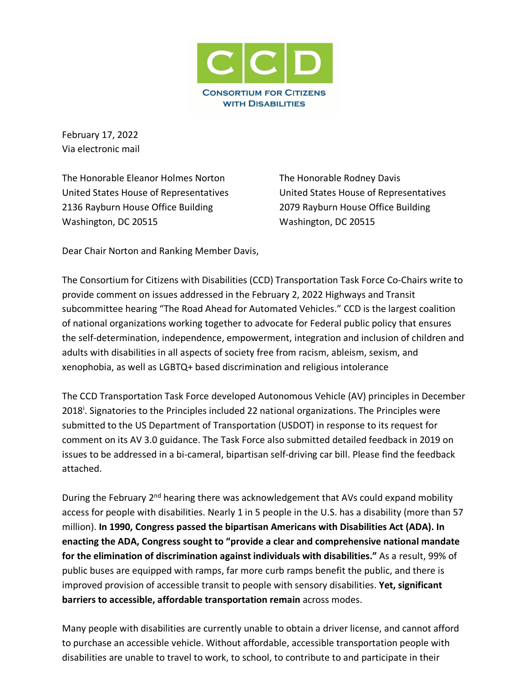

February 17, 2022 Via electronic mail

The Honorable Eleanor Holmes Norton United States House of Representatives 2136 Rayburn House Office Building Washington, DC 20515

The Honorable Rodney Davis United States House of Representatives 2079 Rayburn House Office Building Washington, DC 20515

Dear Chair Norton and Ranking Member Davis,

The Consortium for Citizens with Disabilities (CCD) Transportation Task Force Co-Chairs write to provide comment on issues addressed in the February 2, 2022 Highways and Transit subcommittee hearing "The Road Ahead for Automated Vehicles." CCD is the largest coalition of national organizations working together to advocate for Federal public policy that ensures the self-determination, independence, empowerment, integration and inclusion of children and adults with disabilities in all aspects of society free from racism, ableism, sexism, and xenophobia, as well as LGBTQ+ based discrimination and religious intolerance

The CCD Transportation Task Force developed Autonomous Vehicle (AV) principles in December 2018<sup>i</sup>. Signatories to the Principles included 22 national organizations. The Principles were submitted to the US Department of Transportation (USDOT) in response to its request for comment on its AV 3.0 guidance. The Task Force also submitted detailed feedback in 2019 on issues to be addressed in a bi-cameral, bipartisan self-driving car bill. Please find the feedback attached.

During the February 2<sup>nd</sup> hearing there was acknowledgement that AVs could expand mobility access for people with disabilities. Nearly 1 in 5 people in the U.S. has a disability (more than 57 million). **In 1990, Congress passed the bipartisan Americans with Disabilities Act (ADA). In enacting the ADA, Congress sought to "provide a clear and comprehensive national mandate for the elimination of discrimination against individuals with disabilities."** As a result, 99% of public buses are equipped with ramps, far more curb ramps benefit the public, and there is improved provision of accessible transit to people with sensory disabilities. **Yet, significant barriers to accessible, affordable transportation remain** across modes.

Many people with disabilities are currently unable to obtain a driver license, and cannot afford to purchase an accessible vehicle. Without affordable, accessible transportation people with disabilities are unable to travel to work, to school, to contribute to and participate in their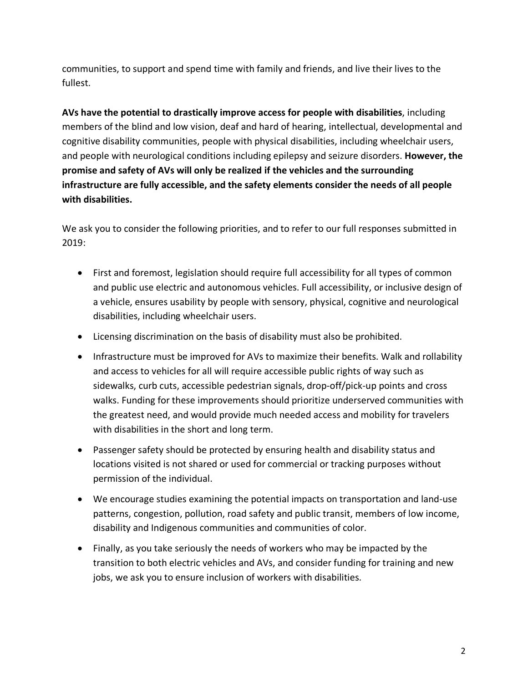communities, to support and spend time with family and friends, and live their lives to the fullest.

**AVs have the potential to drastically improve access for people with disabilities**, including members of the blind and low vision, deaf and hard of hearing, intellectual, developmental and cognitive disability communities, people with physical disabilities, including wheelchair users, and people with neurological conditions including epilepsy and seizure disorders. **However, the promise and safety of AVs will only be realized if the vehicles and the surrounding infrastructure are fully accessible, and the safety elements consider the needs of all people with disabilities.**

We ask you to consider the following priorities, and to refer to our full responses submitted in 2019:

- First and foremost, legislation should require full accessibility for all types of common and public use electric and autonomous vehicles. Full accessibility, or inclusive design of a vehicle, ensures usability by people with sensory, physical, cognitive and neurological disabilities, including wheelchair users.
- Licensing discrimination on the basis of disability must also be prohibited.
- Infrastructure must be improved for AVs to maximize their benefits. Walk and rollability and access to vehicles for all will require accessible public rights of way such as sidewalks, curb cuts, accessible pedestrian signals, drop-off/pick-up points and cross walks. Funding for these improvements should prioritize underserved communities with the greatest need, and would provide much needed access and mobility for travelers with disabilities in the short and long term.
- Passenger safety should be protected by ensuring health and disability status and locations visited is not shared or used for commercial or tracking purposes without permission of the individual.
- We encourage studies examining the potential impacts on transportation and land-use patterns, congestion, pollution, road safety and public transit, members of low income, disability and Indigenous communities and communities of color.
- Finally, as you take seriously the needs of workers who may be impacted by the transition to both electric vehicles and AVs, and consider funding for training and new jobs, we ask you to ensure inclusion of workers with disabilities.